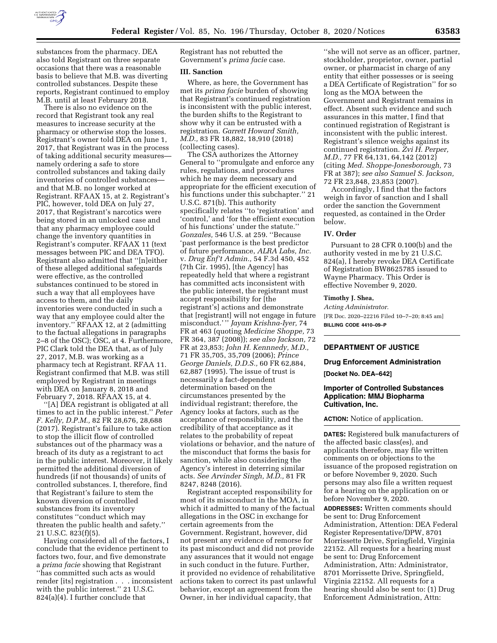

substances from the pharmacy. DEA also told Registrant on three separate occasions that there was a reasonable basis to believe that M.B. was diverting controlled substances. Despite these reports, Registrant continued to employ M.B. until at least February 2018.

There is also no evidence on the record that Registrant took any real measures to increase security at the pharmacy or otherwise stop the losses. Registrant's owner told DEA on June 1, 2017, that Registrant was in the process of taking additional security measures namely ordering a safe to store controlled substances and taking daily inventories of controlled substances and that M.B. no longer worked at Registrant. RFAAX 15, at 2. Registrant's PIC, however, told DEA on July 27, 2017, that Registrant's narcotics were being stored in an unlocked case and that any pharmacy employee could change the inventory quantities in Registrant's computer. RFAAX 11 (text messages between PIC and DEA TFO). Registrant also admitted that ''[n]either of these alleged additional safeguards were effective, as the controlled substances continued to be stored in such a way that all employees have access to them, and the daily inventories were conducted in such a way that any employee could alter the inventory.'' RFAAX 12, at 2 (admitting to the factual allegations in paragraphs 2–8 of the OSC); OSC, at 4. Furthermore, PIC Clark told the DEA that, as of July 27, 2017, M.B. was working as a pharmacy tech at Registrant. RFAA 11. Registrant confirmed that M.B. was still employed by Registrant in meetings with DEA on January 8, 2018 and February 7, 2018. RFAAX 15, at 4.

''[A] DEA registrant is obligated at all times to act in the public interest.'' *Peter F. Kelly, D.P.M.,* 82 FR 28,676, 28,688 (2017). Registrant's failure to take action to stop the illicit flow of controlled substances out of the pharmacy was a breach of its duty as a registrant to act in the public interest. Moreover, it likely permitted the additional diversion of hundreds (if not thousands) of units of controlled substances. I, therefore, find that Registrant's failure to stem the known diversion of controlled substances from its inventory constitutes ''conduct which may threaten the public health and safety.'' 21 U.S.C. 823(f)(5).

Having considered all of the factors, I conclude that the evidence pertinent to factors two, four, and five demonstrate a *prima facie* showing that Registrant ''has committed such acts as would render [its] registration . . . inconsistent with the public interest.'' 21 U.S.C. 824(a)(4). I further conclude that

Registrant has not rebutted the Government's *prima facie* case.

#### **III. Sanction**

Where, as here, the Government has met its *prima facie* burden of showing that Registrant's continued registration is inconsistent with the public interest, the burden shifts to the Registrant to show why it can be entrusted with a registration. *Garrett Howard Smith, M.D.,* 83 FR 18,882, 18,910 (2018) (collecting cases).

The CSA authorizes the Attorney General to ''promulgate and enforce any rules, regulations, and procedures which he may deem necessary and appropriate for the efficient execution of his functions under this subchapter.'' 21 U.S.C. 871(b). This authority specifically relates ''to 'registration' and 'control,' and 'for the efficient execution of his functions' under the statute.'' *Gonzales,* 546 U.S. at 259. ''Because 'past performance is the best predictor of future performance, *ALRA Labs, Inc.*  v. *Drug Enf't Admin.,* 54 F.3d 450, 452 (7th Cir. 1995), [the Agency] has repeatedly held that where a registrant has committed acts inconsistent with the public interest, the registrant must accept responsibility for [the registrant's] actions and demonstrate that [registrant] will not engage in future misconduct.' '' *Jayam Krishna-Iyer,* 74 FR at 463 (quoting *Medicine Shoppe,* 73 FR 364, 387 (2008)); *see also Jackson,* 72 FR at 23,853; *John H. Kennnedy, M.D.,*  71 FR 35,705, 35,709 (2006); *Prince George Daniels, D.D.S.,* 60 FR 62,884, 62,887 (1995). The issue of trust is necessarily a fact-dependent determination based on the circumstances presented by the individual registrant; therefore, the Agency looks at factors, such as the acceptance of responsibility, and the credibility of that acceptance as it relates to the probability of repeat violations or behavior, and the nature of the misconduct that forms the basis for sanction, while also considering the Agency's interest in deterring similar acts. *See Arvinder Singh, M.D.,* 81 FR 8247, 8248 (2016).

Registrant accepted responsibility for most of its misconduct in the MOA, in which it admitted to many of the factual allegations in the OSC in exchange for certain agreements from the Government. Registrant, however, did not present any evidence of remorse for its past misconduct and did not provide any assurances that it would not engage in such conduct in the future. Further, it provided no evidence of rehabilitative actions taken to correct its past unlawful behavior, except an agreement from the Owner, in her individual capacity, that

''she will not serve as an officer, partner, stockholder, proprietor, owner, partial owner, or pharmacist in charge of any entity that either possesses or is seeing a DEA Certificate of Registration'' for so long as the MOA between the Government and Registrant remains in effect. Absent such evidence and such assurances in this matter, I find that continued registration of Registrant is inconsistent with the public interest. Registrant's silence weighs against its continued registration. *Zvi H. Perper, M.D.,* 77 FR 64,131, 64,142 (2012) (citing *Med. Shoppe-Jonesborough,* 73 FR at 387); *see also Samuel S. Jackson,*  72 FR 23,848, 23,853 (2007).

Accordingly, I find that the factors weigh in favor of sanction and I shall order the sanction the Government requested, as contained in the Order below.

### **IV. Order**

Pursuant to 28 CFR 0.100(b) and the authority vested in me by 21 U.S.C. 824(a), I hereby revoke DEA Certificate of Registration BW8625785 issued to Wayne Pharmacy. This Order is effective November 9, 2020.

# **Timothy J. Shea,**

*Acting Administrator.*  [FR Doc. 2020–22216 Filed 10–7–20; 8:45 am] **BILLING CODE 4410–09–P** 

# **DEPARTMENT OF JUSTICE**

#### **Drug Enforcement Administration**

**[Docket No. DEA–642]** 

### **Importer of Controlled Substances Application: MMJ Biopharma Cultivation, Inc.**

**ACTION:** Notice of application.

**DATES:** Registered bulk manufacturers of the affected basic class(es), and applicants therefore, may file written comments on or objections to the issuance of the proposed registration on or before November 9, 2020. Such persons may also file a written request for a hearing on the application on or before November 9, 2020.

**ADDRESSES:** Written comments should be sent to: Drug Enforcement Administration, Attention: DEA Federal Register Representative/DPW, 8701 Morrissette Drive, Springfield, Virginia 22152. All requests for a hearing must be sent to: Drug Enforcement Administration, Attn: Administrator, 8701 Morrissette Drive, Springfield, Virginia 22152. All requests for a hearing should also be sent to: (1) Drug Enforcement Administration, Attn: